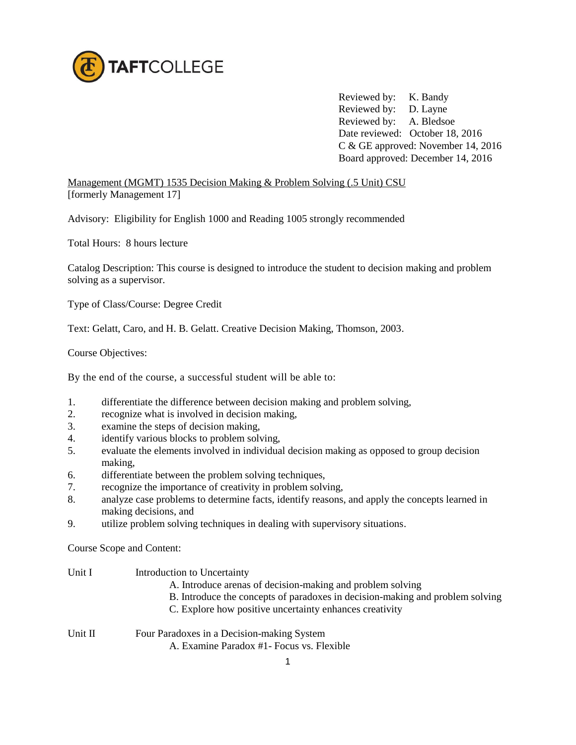

Reviewed by: K. Bandy Reviewed by: D. Layne Reviewed by: A. Bledsoe Date reviewed: October 18, 2016 C & GE approved: November 14, 2016 Board approved: December 14, 2016

Management (MGMT) 1535 Decision Making & Problem Solving (.5 Unit) CSU [formerly Management 17]

Advisory: Eligibility for English 1000 and Reading 1005 strongly recommended

Total Hours: 8 hours lecture

Catalog Description: This course is designed to introduce the student to decision making and problem solving as a supervisor.

Type of Class/Course: Degree Credit

Text: Gelatt, Caro, and H. B. Gelatt. Creative Decision Making, Thomson, 2003.

Course Objectives:

By the end of the course, a successful student will be able to:

- 1. differentiate the difference between decision making and problem solving,
- 2. recognize what is involved in decision making,
- 3. examine the steps of decision making,
- 4. identify various blocks to problem solving,
- 5. evaluate the elements involved in individual decision making as opposed to group decision making,
- 6. differentiate between the problem solving techniques,
- 7. recognize the importance of creativity in problem solving,
- 8. analyze case problems to determine facts, identify reasons, and apply the concepts learned in making decisions, and
- 9. utilize problem solving techniques in dealing with supervisory situations.

Course Scope and Content:

| Unit I  | Introduction to Uncertainty                                                   |
|---------|-------------------------------------------------------------------------------|
|         | A. Introduce arenas of decision-making and problem solving                    |
|         | B. Introduce the concepts of paradoxes in decision-making and problem solving |
|         | C. Explore how positive uncertainty enhances creativity                       |
| Unit II | Four Paradoxes in a Decision-making System                                    |
|         | A. Examine Paradox #1 - Focus vs. Flexible                                    |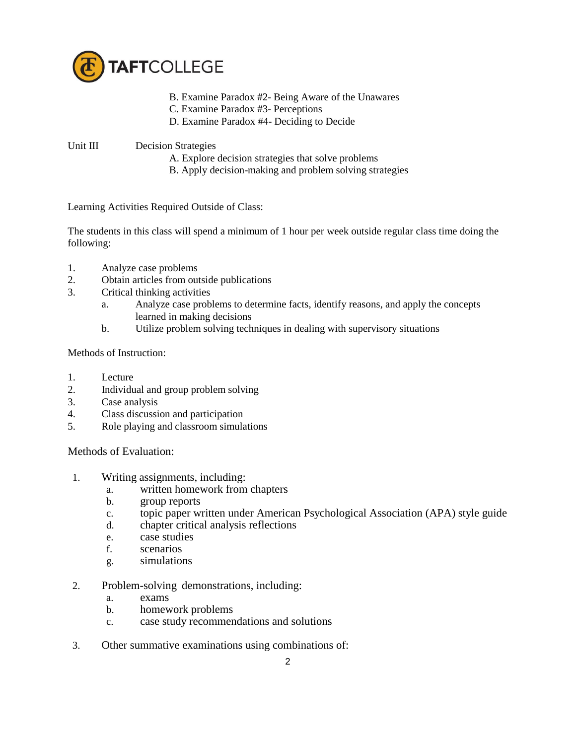

- B. Examine Paradox #2- Being Aware of the Unawares
- C. Examine Paradox #3- Perceptions
- D. Examine Paradox #4- Deciding to Decide

## Unit III Decision Strategies

- A. Explore decision strategies that solve problems
- B. Apply decision-making and problem solving strategies

Learning Activities Required Outside of Class:

The students in this class will spend a minimum of 1 hour per week outside regular class time doing the following:

- 1. Analyze case problems
- 2. Obtain articles from outside publications
- 3. Critical thinking activities
	- a. Analyze case problems to determine facts, identify reasons, and apply the concepts learned in making decisions
	- b. Utilize problem solving techniques in dealing with supervisory situations

Methods of Instruction:

- 1. Lecture
- 2. Individual and group problem solving
- 3. Case analysis
- 4. Class discussion and participation
- 5. Role playing and classroom simulations

Methods of Evaluation:

- 1. Writing assignments, including:
	- a. written homework from chapters
	- b. group reports
	- c. topic paper written under American Psychological Association (APA) style guide
	- d. chapter critical analysis reflections
	- e. case studies
	- f. scenarios
	- g. simulations
- 2. Problem-solving demonstrations, including:
	- a. exams
	- b. homework problems
	- c. case study recommendations and solutions
- 3. Other summative examinations using combinations of: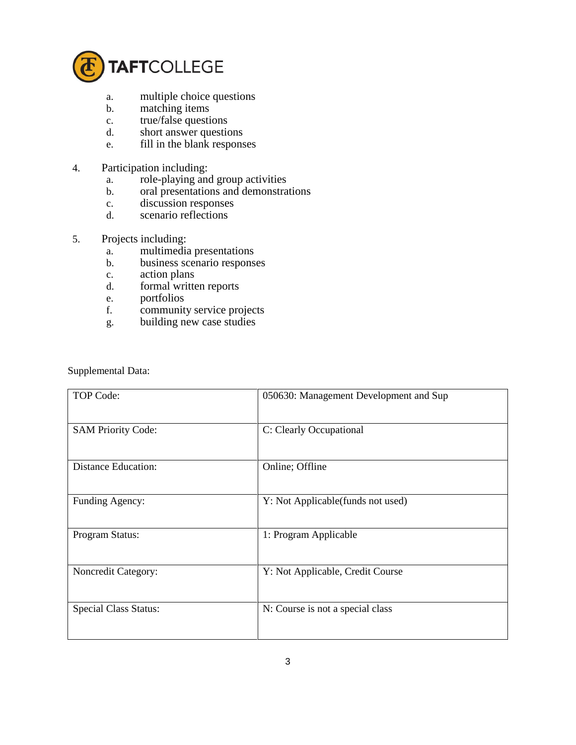

- a. multiple choice questions
- b. matching items
- c. true/false questions
- d. short answer questions
- e. fill in the blank responses
- 4. Participation including:
	- a. role-playing and group activities
	- b. oral presentations and demonstrations
	- c. discussion responses
	- d. scenario reflections
- 5. Projects including:
	- a. multimedia presentations
	- b. business scenario responses
	- c. action plans
	- d. formal written reports
	- e. portfolios
	- f. community service projects
	- g. building new case studies

Supplemental Data:

| TOP Code:                    | 050630: Management Development and Sup |
|------------------------------|----------------------------------------|
| <b>SAM Priority Code:</b>    | C: Clearly Occupational                |
| <b>Distance Education:</b>   | Online; Offline                        |
| Funding Agency:              | Y: Not Applicable (funds not used)     |
| Program Status:              | 1: Program Applicable                  |
| Noncredit Category:          | Y: Not Applicable, Credit Course       |
| <b>Special Class Status:</b> | N: Course is not a special class       |